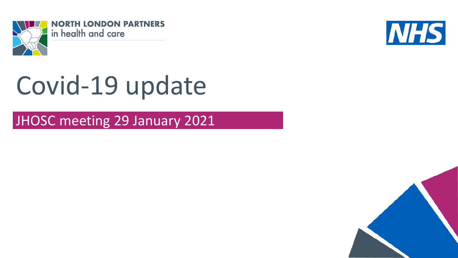



# Covid-19 update

JHOSC meeting 29 January 2021

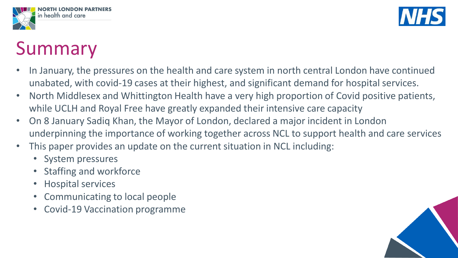



### Summary

- In January, the pressures on the health and care system in north central London have continued unabated, with covid-19 cases at their highest, and significant demand for hospital services.
- North Middlesex and Whittington Health have a very high proportion of Covid positive patients, while UCLH and Royal Free have greatly expanded their intensive care capacity
- On 8 January Sadiq Khan, the Mayor of London, declared a major incident in London underpinning the importance of working together across NCL to support health and care services
- This paper provides an update on the current situation in NCL including:
	- System pressures
	- Staffing and workforce
	- Hospital services
	- Communicating to local people
	- Covid-19 Vaccination programme

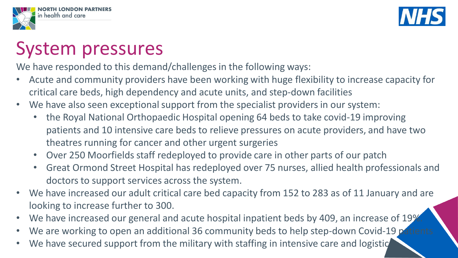



#### System pressures

We have responded to this demand/challenges in the following ways:

- Acute and community providers have been working with huge flexibility to increase capacity for critical care beds, high dependency and acute units, and step-down facilities
- We have also seen exceptional support from the specialist providers in our system:
	- the Royal National Orthopaedic Hospital opening 64 beds to take covid-19 improving patients and 10 intensive care beds to relieve pressures on acute providers, and have two theatres running for cancer and other urgent surgeries
	- Over 250 Moorfields staff redeployed to provide care in other parts of our patch
	- Great Ormond Street Hospital has redeployed over 75 nurses, allied health professionals and doctors to support services across the system.
- We have increased our adult critical care bed capacity from 152 to 283 as of 11 January and are looking to increase further to 300.
- We have increased our general and acute hospital inpatient beds by 409, an increase of 19%
- We are working to open an additional 36 community beds to help step-down Covid-19 pr
- We have secured support from the military with staffing in intensive care and logistic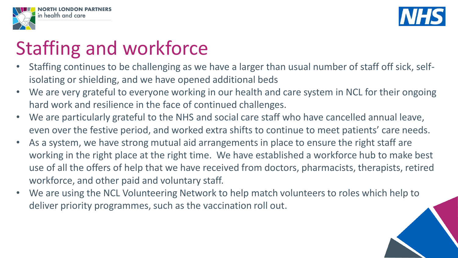

## Staffing and workforce

in health and care

- Staffing continues to be challenging as we have a larger than usual number of staff off sick, selfisolating or shielding, and we have opened additional beds
- We are very grateful to everyone working in our health and care system in NCL for their ongoing hard work and resilience in the face of continued challenges.
- We are particularly grateful to the NHS and social care staff who have cancelled annual leave, even over the festive period, and worked extra shifts to continue to meet patients' care needs.
- As a system, we have strong mutual aid arrangements in place to ensure the right staff are working in the right place at the right time. We have established a workforce hub to make best use of all the offers of help that we have received from doctors, pharmacists, therapists, retired workforce, and other paid and voluntary staff.
- We are using the NCL Volunteering Network to help match volunteers to roles which help to deliver priority programmes, such as the vaccination roll out.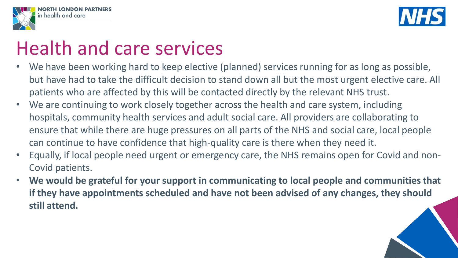



### Health and care services

- We have been working hard to keep elective (planned) services running for as long as possible, but have had to take the difficult decision to stand down all but the most urgent elective care. All patients who are affected by this will be contacted directly by the relevant NHS trust.
- We are continuing to work closely together across the health and care system, including hospitals, community health services and adult social care. All providers are collaborating to ensure that while there are huge pressures on all parts of the NHS and social care, local people can continue to have confidence that high-quality care is there when they need it.
- Equally, if local people need urgent or emergency care, the NHS remains open for Covid and non-Covid patients.
- **We would be grateful for your support in communicating to local people and communities that if they have appointments scheduled and have not been advised of any changes, they should still attend.**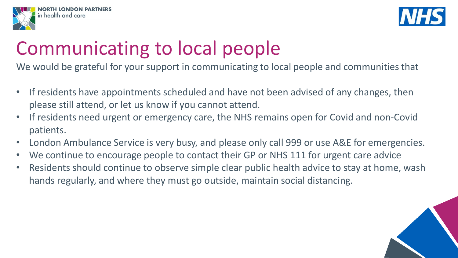



#### Communicating to local people

We would be grateful for your support in communicating to local people and communities that

- If residents have appointments scheduled and have not been advised of any changes, then please still attend, or let us know if you cannot attend.
- If residents need urgent or emergency care, the NHS remains open for Covid and non-Covid patients.
- London Ambulance Service is very busy, and please only call 999 or use A&E for emergencies.
- We continue to encourage people to contact their GP or NHS 111 for urgent care advice
- Residents should continue to observe simple clear public health advice to stay at home, wash hands regularly, and where they must go outside, maintain social distancing.

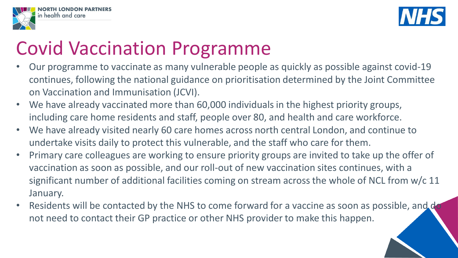



### Covid Vaccination Programme

- Our programme to vaccinate as many vulnerable people as quickly as possible against covid-19 continues, following the national guidance on prioritisation determined by the Joint Committee on Vaccination and Immunisation (JCVI).
- We have already vaccinated more than 60,000 individuals in the highest priority groups, including care home residents and staff, people over 80, and health and care workforce.
- We have already visited nearly 60 care homes across north central London, and continue to undertake visits daily to protect this vulnerable, and the staff who care for them.
- Primary care colleagues are working to ensure priority groups are invited to take up the offer of vaccination as soon as possible, and our roll-out of new vaccination sites continues, with a significant number of additional facilities coming on stream across the whole of NCL from w/c 11 January.
- Residents will be contacted by the NHS to come forward for a vaccine as soon as possible, and do not need to contact their GP practice or other NHS provider to make this happen.